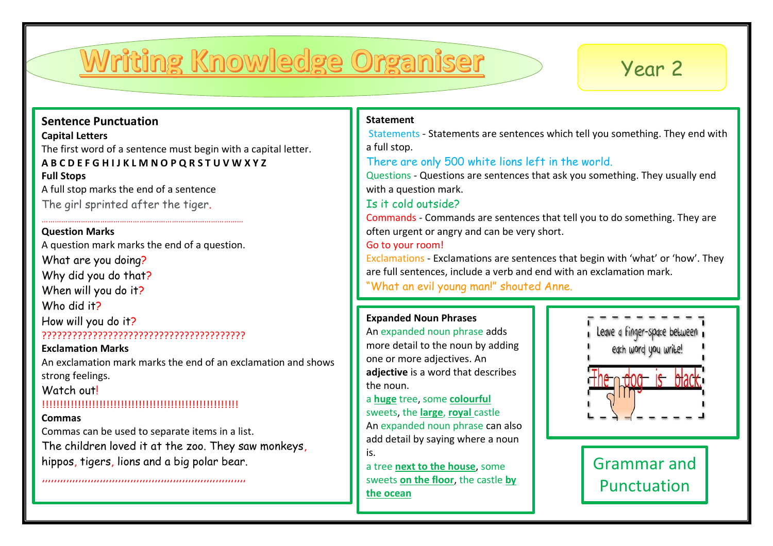# Writing Knowledge Organiser

## Year 2

### **Sentence Punctuation**

**Capital Letters**

The first word of a sentence must begin with a capital letter.

### **A B C D E F G H I J K L M N O P Q R S T U V W X Y Z Full Stops**

A full stop marks the end of a sentence The girl sprinted after the tiger.

#### **Question Marks**

A question mark marks the end of a question.

…………………………………………………………………………………

What are you doing?

Why did you do that?

When will you do it?

Who did it?

How will you do it? ????????????????????????????????????????

## **Exclamation Marks**

An exclamation mark marks the end of an exclamation and shows strong feelings.

## Watch out!

## !!!!!!!!!!!!!!!!!!!!!!!!!!!!!!!!!!!!!!!!!!!!!!!!!!!!!!!

### **Commas**

Commas can be used to separate items in a list.

,,,,,,,,,,,,,,,,,,,,,,,,,,,,,,,,,,,,,,,,,,,,,,,,,,,,,,,,,,,,,,,,,,,

The children loved it at the zoo. They saw monkeys, hippos, tigers, lions and a big polar bear.

#### **Statement**

Statements - Statements are sentences which tell you something. They end with a full stop.

## There are only 500 white lions left in the world.

Questions - Questions are sentences that ask you something. They usually end with a question mark.

## Is it cold outside?

Commands - Commands are sentences that tell you to do something. They are often urgent or angry and can be very short.

Go to your room!

Exclamations - Exclamations are sentences that begin with 'what' or 'how'. They are full sentences, include a verb and end with an exclamation mark.

"What an evil young man!" shouted Anne.

## **Expanded Noun Phrases**

An expanded noun phrase adds more detail to the noun by adding one or more adjectives. An **adjective** is a word that describes the noun.

a **huge** tree, some **colourful** sweets, the **large**, **royal** castle An expanded noun phrase can also add detail by saying where a noun is.

a tree **next to the house**, some sweets **on the floor**, the castle **by the ocean**



Grammar and **Punctuation**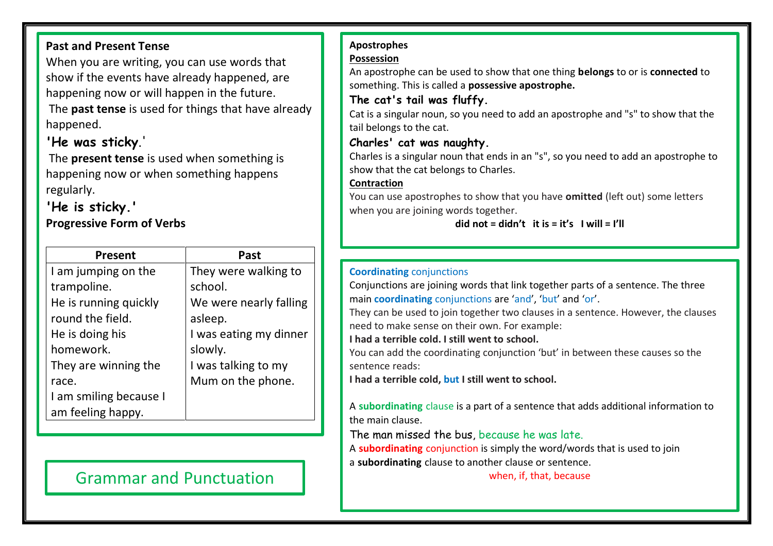## **Past and Present Tense**

When you are writing, you can use words that show if the events have already happened, are happening now or will happen in the future. The **past tense** is used for things that have already happened.

## **'He was sticky**.'

The **present tense** is used when something is happening now or when something happens regularly.

## **'He is sticky.'**

## **Progressive Form of Verbs**

| Present                | Past                   |
|------------------------|------------------------|
| I am jumping on the    | They were walking to   |
| trampoline.            | school.                |
| He is running quickly  | We were nearly falling |
| round the field.       | asleep.                |
| He is doing his        | I was eating my dinner |
| homework.              | slowly.                |
| They are winning the   | I was talking to my    |
| race.                  | Mum on the phone.      |
| I am smiling because I |                        |
| am feeling happy.      |                        |

## Grammar and Punctuation **Constant Constant Constant Constant Constant Constant Constant Constant Constant Constant Constant Constant Constant Constant Constant Constant Constant Constant Constant Constant Constant Constant**

## **Apostrophes**

#### **Possession**

An apostrophe can be used to show that one thing **belongs** to or is **connected** to something. This is called a **possessive apostrophe.**

## **The cat's tail was fluffy.**

Cat is a singular noun, so you need to add an apostrophe and "s" to show that the tail belongs to the cat.

## **Charles' cat was naughty.**

Charles is a singular noun that ends in an "s", so you need to add an apostrophe to show that the cat belongs to Charles.

## **Contraction**

You can use apostrophes to show that you have **omitted** (left out) some letters when you are joining words together.

## **did not = didn't it is = it's I will = I'll**

## **Coordinating** conjunctions

Conjunctions are joining words that link together parts of a sentence. The three main **coordinating** conjunctions are 'and', 'but' and 'or'.

They can be used to join together two clauses in a sentence. However, the clauses need to make sense on their own. For example:

**I had a terrible cold. I still went to school.**

You can add the coordinating conjunction 'but' in between these causes so the sentence reads:

**I had a terrible cold, but I still went to school.**

A **subordinating** clause is a part of a sentence that adds additional information to the main clause.

The man missed the bus, because he was late.

A **subordinating** conjunction is simply the word/words that is used to join

a **subordinating** clause to another clause or sentence.